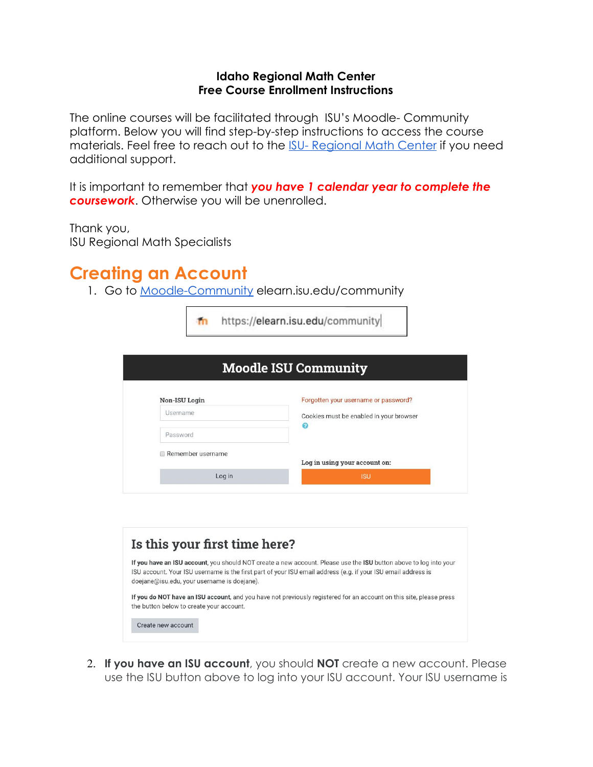#### **Idaho Regional Math Center Free Course Enrollment Instructions**

The online courses will be facilitated through ISU's Moodle- Community platform. Below you will find step-by-step instructions to access the course materials. Feel free to reach out to the [ISU- Regional Math Center](mailto:irmc@isu.edu) if you need additional support.

It is important to remember that *you have 1 calendar year to complete the coursework*. Otherwise you will be unenrolled.

Thank you,

ISU Regional Math Specialists

### **Creating an Account**

1. Go to [Moodle-Community](https://elearn.isu.edu/community/) elearn.isu.edu/community

| https://elearn.isu.edu/community            |                                                                                                                                                                                                                                    |  |
|---------------------------------------------|------------------------------------------------------------------------------------------------------------------------------------------------------------------------------------------------------------------------------------|--|
|                                             | <b>Moodle ISU Community</b>                                                                                                                                                                                                        |  |
| Non-ISU Login                               | Forgotten your username or password?                                                                                                                                                                                               |  |
| Username                                    | Cookies must be enabled in your browser                                                                                                                                                                                            |  |
| Password                                    | ℯ                                                                                                                                                                                                                                  |  |
| Remember username                           | Log in using your account on:                                                                                                                                                                                                      |  |
| Log in                                      | <b>ISU</b>                                                                                                                                                                                                                         |  |
| Is this your first time here?               |                                                                                                                                                                                                                                    |  |
| doejane@isu.edu, your username is doejane). | If you have an ISU account, you should NOT create a new account. Please use the ISU button above to log into your<br>ISU account. Your ISU username is the first part of your ISU email address (e.g. if your ISU email address is |  |
| the button below to create your account.    | If you do NOT have an ISU account, and you have not previously registered for an account on this site, please press                                                                                                                |  |
| Create new account                          |                                                                                                                                                                                                                                    |  |

2. **If you have an ISU account**, you should **NOT** create a new account. Please use the ISU button above to log into your ISU account. Your ISU username is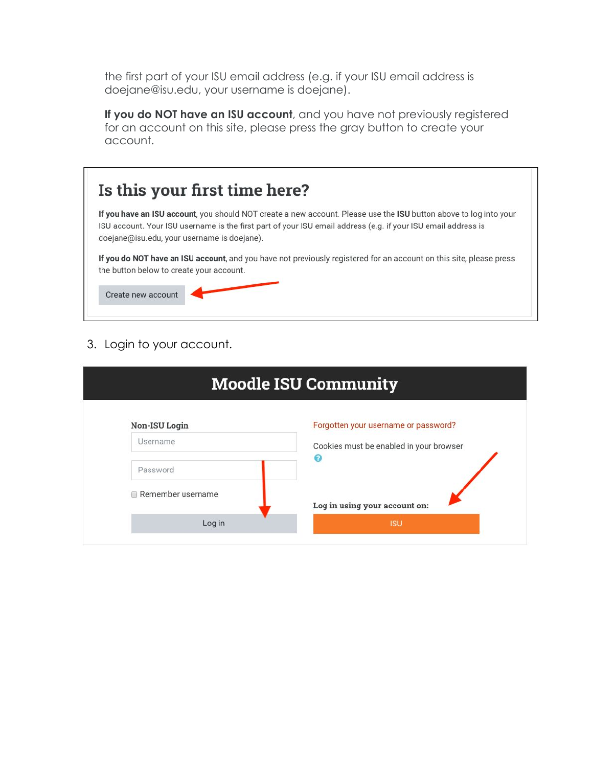the first part of your ISU email address (e.g. if your ISU email address is doejane@isu.edu, your username is doejane).

**If you do NOT have an ISU account**, and you have not previously registered for an account on this site, please press the gray button to create your account.

|                                          | If you have an ISU account, you should NOT create a new account. Please use the ISU button above to log into your   |
|------------------------------------------|---------------------------------------------------------------------------------------------------------------------|
|                                          | ISU account. Your ISU username is the first part of your ISU email address (e.g. if your ISU email address is       |
|                                          | doejane@isu.edu, your username is doejane).                                                                         |
|                                          | If you do NOT have an ISU account, and you have not previously registered for an account on this site, please press |
| the button below to create your account. |                                                                                                                     |
|                                          |                                                                                                                     |

### 3. Login to your account.

| <b>Moodle ISU Community</b> |                                         |  |
|-----------------------------|-----------------------------------------|--|
| Non-ISU Login               | Forgotten your username or password?    |  |
| Username                    | Cookies must be enabled in your browser |  |
| Password                    |                                         |  |
| Remember username<br>$\Box$ | Log in using your account on:           |  |
| Log in                      | <b>ISU</b>                              |  |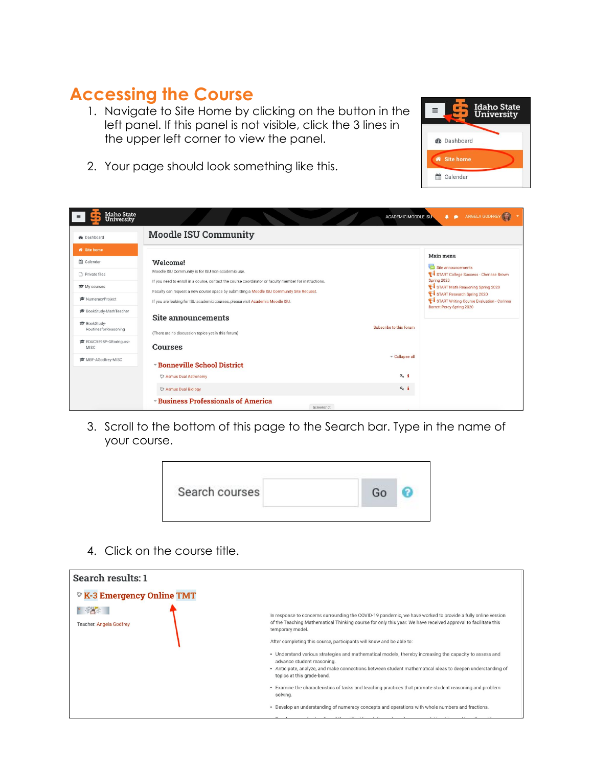## **Accessing the Course**

1. Navigate to Site Home by clicking on the button in the left panel. If this panel is not visible, click the 3 lines in the upper left corner to view the panel.



2. Your page should look something like this.

| <b>Idaho State</b><br>University     |                                                                                                                                                                                                    | <b>ACADEMIC MOODLE ISU-</b> | ANGELA GODFREY<br>◆<br>$\bullet$                                        |
|--------------------------------------|----------------------------------------------------------------------------------------------------------------------------------------------------------------------------------------------------|-----------------------------|-------------------------------------------------------------------------|
| <b>@</b> Dashboard                   | <b>Moodle ISU Community</b>                                                                                                                                                                        |                             |                                                                         |
| <b>W</b> Site home                   |                                                                                                                                                                                                    |                             | Main menu                                                               |
| m Calendar                           | Welcome!                                                                                                                                                                                           |                             | Site announcements                                                      |
| Private files                        | Moodle ISU Community is for ISU non-academic use.                                                                                                                                                  |                             | START College Success - Cherisse Brown                                  |
| ₹ My courses                         | If you need to enroll in a course, contact the course coordinator or faculty member for instructions.<br>Faculty can request a new course space by submitting a Moodle ISU Community Site Request. |                             | Spring 2020<br>START Math Reasoning Spring 2020                         |
| NumeracyProject                      | If you are looking for ISU academic courses, please visit Academic Moodle ISU.                                                                                                                     |                             | START Research Spring 2020<br>START Writing Course Evaluation - Corinna |
| BookStudy-MathTeacher                |                                                                                                                                                                                                    |                             | <b>Barrett Percy Spring 2020</b>                                        |
| BookStudy-                           | Site announcements                                                                                                                                                                                 | Subscribe to this forum     |                                                                         |
| RoutinesforReasoning                 | (There are no discussion topics yet in this forum)                                                                                                                                                 |                             |                                                                         |
| EDUC5598P-GRodriguez-<br><b>MISC</b> | <b>Courses</b>                                                                                                                                                                                     |                             |                                                                         |
| i <sup>●</sup> MBF-AGodfrey-MISC     |                                                                                                                                                                                                    | Collapse all                |                                                                         |
|                                      | <b>Example School District</b>                                                                                                                                                                     |                             |                                                                         |
|                                      | C Asmus Dual Astronomy                                                                                                                                                                             | $a_i$ i                     |                                                                         |
|                                      | <b>&amp; Asmus Dual Biology</b>                                                                                                                                                                    | $a_i$ i                     |                                                                         |
|                                      | <b>Eusiness Professionals of America</b><br>Screenshot                                                                                                                                             |                             |                                                                         |

3. Scroll to the bottom of this page to the Search bar. Type in the name of your course.



4. Click on the course title.

| Search results: 1                               |                                                                                                                                                                                                                                                                                 |
|-------------------------------------------------|---------------------------------------------------------------------------------------------------------------------------------------------------------------------------------------------------------------------------------------------------------------------------------|
| <sup>®</sup> K-3 Emergency Online TMT           |                                                                                                                                                                                                                                                                                 |
| $\sim$ $\sim$<br><b>Teacher: Angela Godfrey</b> | In response to concerns surrounding the COVID-19 pandemic, we have worked to provide a fully online version<br>of the Teaching Mathematical Thinking course for only this year. We have received approval to facilitate this<br>temporary model.                                |
|                                                 | After completing this course, participants will know and be able to:                                                                                                                                                                                                            |
|                                                 | . Understand various strategies and mathematical models, thereby increasing the capacity to assess and<br>advance student reasoning.<br>• Anticipate, analyze, and make connections between student mathematical ideas to deepen understanding of<br>topics at this grade-band. |
|                                                 | . Examine the characteristics of tasks and teaching practices that promote student reasoning and problem<br>solving.                                                                                                                                                            |
|                                                 | • Develop an understanding of numeracy concepts and operations with whole numbers and fractions.                                                                                                                                                                                |
|                                                 |                                                                                                                                                                                                                                                                                 |